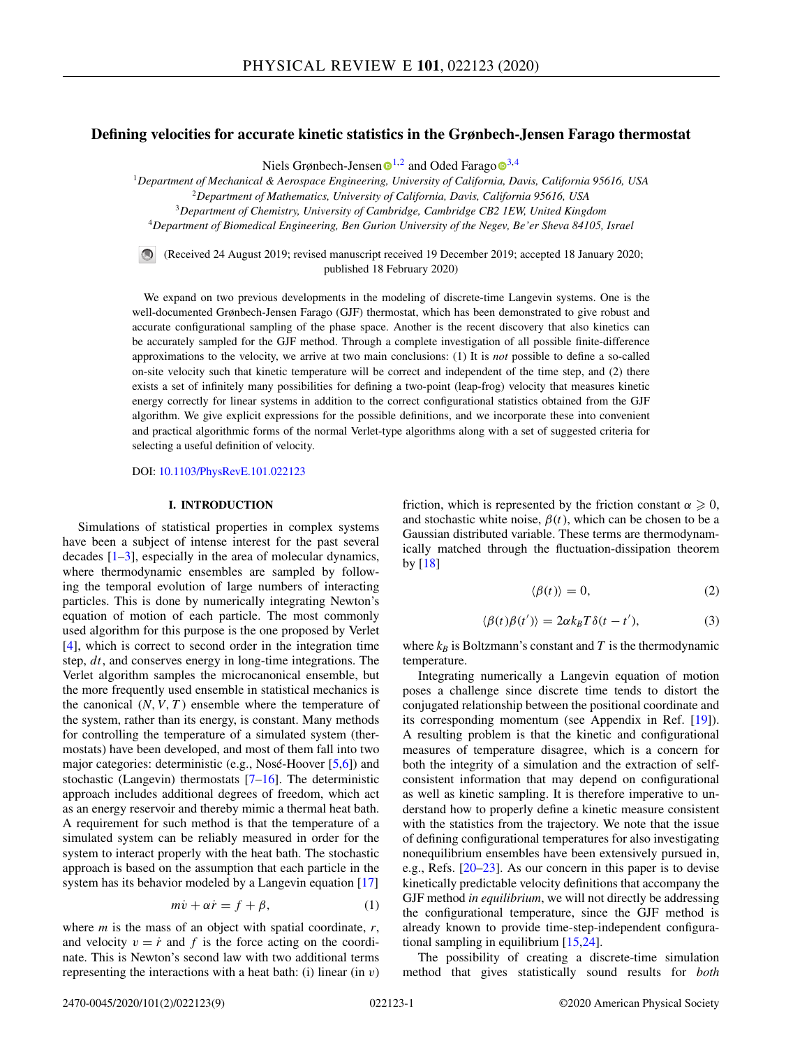## <span id="page-0-0"></span>**Defining velocities for accurate kinetic statistics in the Grønbech-Jensen Farago thermostat**

Niels Grønbech-Jensen  $\mathbb{D}^{1,2}$  $\mathbb{D}^{1,2}$  $\mathbb{D}^{1,2}$  and Oded Farag[o](https://orcid.org/0000-0003-1517-5404)  $\mathbb{D}^{3,4}$ 

<sup>1</sup>*Department of Mechanical & Aerospace Engineering, University of California, Davis, California 95616, USA*

<sup>2</sup>*Department of Mathematics, University of California, Davis, California 95616, USA*

<sup>3</sup>*Department of Chemistry, University of Cambridge, Cambridge CB2 1EW, United Kingdom*

<sup>4</sup>*Department of Biomedical Engineering, Ben Gurion University of the Negev, Be'er Sheva 84105, Israel*

(Received 24 August 2019; revised manuscript received 19 December 2019; accepted 18 January 2020; published 18 February 2020)

We expand on two previous developments in the modeling of discrete-time Langevin systems. One is the well-documented Grønbech-Jensen Farago (GJF) thermostat, which has been demonstrated to give robust and accurate configurational sampling of the phase space. Another is the recent discovery that also kinetics can be accurately sampled for the GJF method. Through a complete investigation of all possible finite-difference approximations to the velocity, we arrive at two main conclusions: (1) It is *not* possible to define a so-called on-site velocity such that kinetic temperature will be correct and independent of the time step, and (2) there exists a set of infinitely many possibilities for defining a two-point (leap-frog) velocity that measures kinetic energy correctly for linear systems in addition to the correct configurational statistics obtained from the GJF algorithm. We give explicit expressions for the possible definitions, and we incorporate these into convenient and practical algorithmic forms of the normal Verlet-type algorithms along with a set of suggested criteria for selecting a useful definition of velocity.

DOI: [10.1103/PhysRevE.101.022123](https://doi.org/10.1103/PhysRevE.101.022123)

## **I. INTRODUCTION**

Simulations of statistical properties in complex systems have been a subject of intense interest for the past several decades [\[1–3\]](#page-8-0), especially in the area of molecular dynamics, where thermodynamic ensembles are sampled by following the temporal evolution of large numbers of interacting particles. This is done by numerically integrating Newton's equation of motion of each particle. The most commonly used algorithm for this purpose is the one proposed by Verlet [\[4\]](#page-8-0), which is correct to second order in the integration time step, *dt*, and conserves energy in long-time integrations. The Verlet algorithm samples the microcanonical ensemble, but the more frequently used ensemble in statistical mechanics is the canonical  $(N, V, T)$  ensemble where the temperature of the system, rather than its energy, is constant. Many methods for controlling the temperature of a simulated system (thermostats) have been developed, and most of them fall into two major categories: deterministic (e.g., Nosé-Hoover [\[5,6\]](#page-8-0)) and stochastic (Langevin) thermostats  $[7-16]$ . The deterministic approach includes additional degrees of freedom, which act as an energy reservoir and thereby mimic a thermal heat bath. A requirement for such method is that the temperature of a simulated system can be reliably measured in order for the system to interact properly with the heat bath. The stochastic approach is based on the assumption that each particle in the system has its behavior modeled by a Langevin equation [\[17\]](#page-8-0)

$$
m\dot{v} + \alpha \dot{r} = f + \beta,\tag{1}
$$

where *m* is the mass of an object with spatial coordinate, *r*, and velocity  $v = \dot{r}$  and  $f$  is the force acting on the coordinate. This is Newton's second law with two additional terms representing the interactions with a heat bath: (i) linear (in *v*)

friction, which is represented by the friction constant  $\alpha \geq 0$ , and stochastic white noise,  $\beta(t)$ , which can be chosen to be a Gaussian distributed variable. These terms are thermodynamically matched through the fluctuation-dissipation theorem by [\[18\]](#page-8-0)

$$
\langle \beta(t) \rangle = 0,\tag{2}
$$

$$
\langle \beta(t)\beta(t')\rangle = 2\alpha k_B T \delta(t - t'),\tag{3}
$$

where  $k_B$  is Boltzmann's constant and  $T$  is the thermodynamic temperature.

Integrating numerically a Langevin equation of motion poses a challenge since discrete time tends to distort the conjugated relationship between the positional coordinate and its corresponding momentum (see Appendix in Ref. [\[19\]](#page-8-0)). A resulting problem is that the kinetic and configurational measures of temperature disagree, which is a concern for both the integrity of a simulation and the extraction of selfconsistent information that may depend on configurational as well as kinetic sampling. It is therefore imperative to understand how to properly define a kinetic measure consistent with the statistics from the trajectory. We note that the issue of defining configurational temperatures for also investigating nonequilibrium ensembles have been extensively pursued in, e.g., Refs. [\[20–23\]](#page-8-0). As our concern in this paper is to devise kinetically predictable velocity definitions that accompany the GJF method *in equilibrium*, we will not directly be addressing the configurational temperature, since the GJF method is already known to provide time-step-independent configurational sampling in equilibrium [\[15,24\]](#page-8-0).

The possibility of creating a discrete-time simulation method that gives statistically sound results for *both*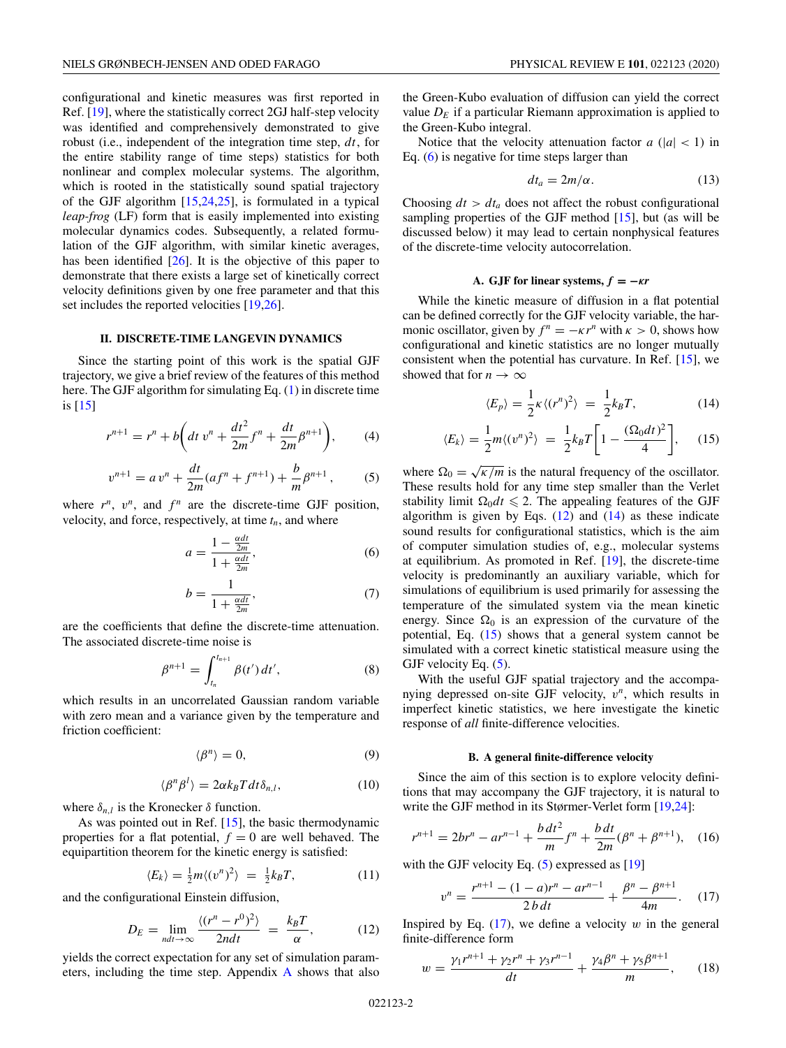<span id="page-1-0"></span>configurational and kinetic measures was first reported in Ref. [\[19\]](#page-8-0), where the statistically correct 2GJ half-step velocity was identified and comprehensively demonstrated to give robust (i.e., independent of the integration time step, *dt*, for the entire stability range of time steps) statistics for both nonlinear and complex molecular systems. The algorithm, which is rooted in the statistically sound spatial trajectory of the GJF algorithm [\[15,24,25\]](#page-8-0), is formulated in a typical *leap-frog* (LF) form that is easily implemented into existing molecular dynamics codes. Subsequently, a related formulation of the GJF algorithm, with similar kinetic averages, has been identified  $[26]$ . It is the objective of this paper to demonstrate that there exists a large set of kinetically correct velocity definitions given by one free parameter and that this set includes the reported velocities [\[19,26\]](#page-8-0).

## **II. DISCRETE-TIME LANGEVIN DYNAMICS**

Since the starting point of this work is the spatial GJF trajectory, we give a brief review of the features of this method here. The GJF algorithm for simulating Eq. [\(1\)](#page-0-0) in discrete time is [\[15\]](#page-8-0)

$$
r^{n+1} = r^n + b \bigg(dt \; v^n + \frac{dt^2}{2m} f^n + \frac{dt}{2m} \beta^{n+1} \bigg), \tag{4}
$$

$$
v^{n+1} = av^n + \frac{dt}{2m}(af^n + f^{n+1}) + \frac{b}{m}\beta^{n+1},
$$
 (5)

where  $r^n$ ,  $v^n$ , and  $f^n$  are the discrete-time GJF position, velocity, and force, respectively, at time  $t_n$ , and where

$$
a = \frac{1 - \frac{\alpha dt}{2m}}{1 + \frac{\alpha dt}{2m}},\tag{6}
$$

$$
b = \frac{1}{1 + \frac{\alpha d t}{2m}},\tag{7}
$$

are the coefficients that define the discrete-time attenuation. The associated discrete-time noise is

$$
\beta^{n+1} = \int_{t_n}^{t_{n+1}} \beta(t') dt', \tag{8}
$$

which results in an uncorrelated Gaussian random variable with zero mean and a variance given by the temperature and friction coefficient:

$$
\langle \beta^n \rangle = 0,\tag{9}
$$

$$
\langle \beta^n \beta^l \rangle = 2\alpha k_B T dt \delta_{n,l}, \qquad (10)
$$

where  $\delta_{n,l}$  is the Kronecker  $\delta$  function.

As was pointed out in Ref. [\[15\]](#page-8-0), the basic thermodynamic properties for a flat potential,  $f = 0$  are well behaved. The equipartition theorem for the kinetic energy is satisfied:

$$
\langle E_k \rangle = \frac{1}{2} m \langle (v^n)^2 \rangle = \frac{1}{2} k_B T, \tag{11}
$$

and the configurational Einstein diffusion,

$$
D_E = \lim_{ndt \to \infty} \frac{\langle (r^n - r^0)^2 \rangle}{2ndt} = \frac{k_B T}{\alpha}, \tag{12}
$$

yields the correct expectation for any set of simulation parameters, including the time step. Appendix [A](#page-7-0) shows that also

the Green-Kubo evaluation of diffusion can yield the correct value  $D<sub>E</sub>$  if a particular Riemann approximation is applied to the Green-Kubo integral.

Notice that the velocity attenuation factor  $a(|a| < 1)$  in Eq. (6) is negative for time steps larger than

$$
dt_a = 2m/\alpha. \tag{13}
$$

Choosing  $dt > dt_a$  does not affect the robust configurational sampling properties of the GJF method [\[15\]](#page-8-0), but (as will be discussed below) it may lead to certain nonphysical features of the discrete-time velocity autocorrelation.

### **A.** GJF for linear systems,  $f = -\kappa r$

While the kinetic measure of diffusion in a flat potential can be defined correctly for the GJF velocity variable, the harmonic oscillator, given by  $f^n = -\kappa r^n$  with  $\kappa > 0$ , shows how configurational and kinetic statistics are no longer mutually consistent when the potential has curvature. In Ref. [\[15\]](#page-8-0), we showed that for  $n \to \infty$ 

$$
\langle E_p \rangle = \frac{1}{2} \kappa \langle (r^n)^2 \rangle = \frac{1}{2} k_B T, \tag{14}
$$

$$
\langle E_k \rangle = \frac{1}{2} m \langle (v^n)^2 \rangle = \frac{1}{2} k_B T \left[ 1 - \frac{(\Omega_0 dt)^2}{4} \right], \quad (15)
$$

where  $\Omega_0 = \sqrt{\kappa/m}$  is the natural frequency of the oscillator. These results hold for any time step smaller than the Verlet stability limit  $\Omega_0 dt \leq 2$ . The appealing features of the GJF algorithm is given by Eqs.  $(12)$  and  $(14)$  as these indicate sound results for configurational statistics, which is the aim of computer simulation studies of, e.g., molecular systems at equilibrium. As promoted in Ref. [\[19\]](#page-8-0), the discrete-time velocity is predominantly an auxiliary variable, which for simulations of equilibrium is used primarily for assessing the temperature of the simulated system via the mean kinetic energy. Since  $\Omega_0$  is an expression of the curvature of the potential, Eq. (15) shows that a general system cannot be simulated with a correct kinetic statistical measure using the GJF velocity Eq.  $(5)$ .

With the useful GJF spatial trajectory and the accompanying depressed on-site GJF velocity, *v<sup>n</sup>*, which results in imperfect kinetic statistics, we here investigate the kinetic response of *all* finite-difference velocities.

#### **B. A general finite-difference velocity**

Since the aim of this section is to explore velocity definitions that may accompany the GJF trajectory, it is natural to write the GJF method in its Størmer-Verlet form [\[19,24\]](#page-8-0):

$$
r^{n+1} = 2br^n - ar^{n-1} + \frac{b dt^2}{m} f^n + \frac{b dt}{2m} (\beta^n + \beta^{n+1}), \quad (16)
$$

with the GJF velocity Eq.  $(5)$  expressed as [\[19\]](#page-8-0)

$$
v^{n} = \frac{r^{n+1} - (1-a)r^{n} - ar^{n-1}}{2 b dt} + \frac{\beta^{n} - \beta^{n+1}}{4m}.
$$
 (17)

Inspired by Eq.  $(17)$ , we define a velocity  $w$  in the general finite-difference form

$$
w = \frac{\gamma_1 r^{n+1} + \gamma_2 r^n + \gamma_3 r^{n-1}}{dt} + \frac{\gamma_4 \beta^n + \gamma_5 \beta^{n+1}}{m},\qquad(18)
$$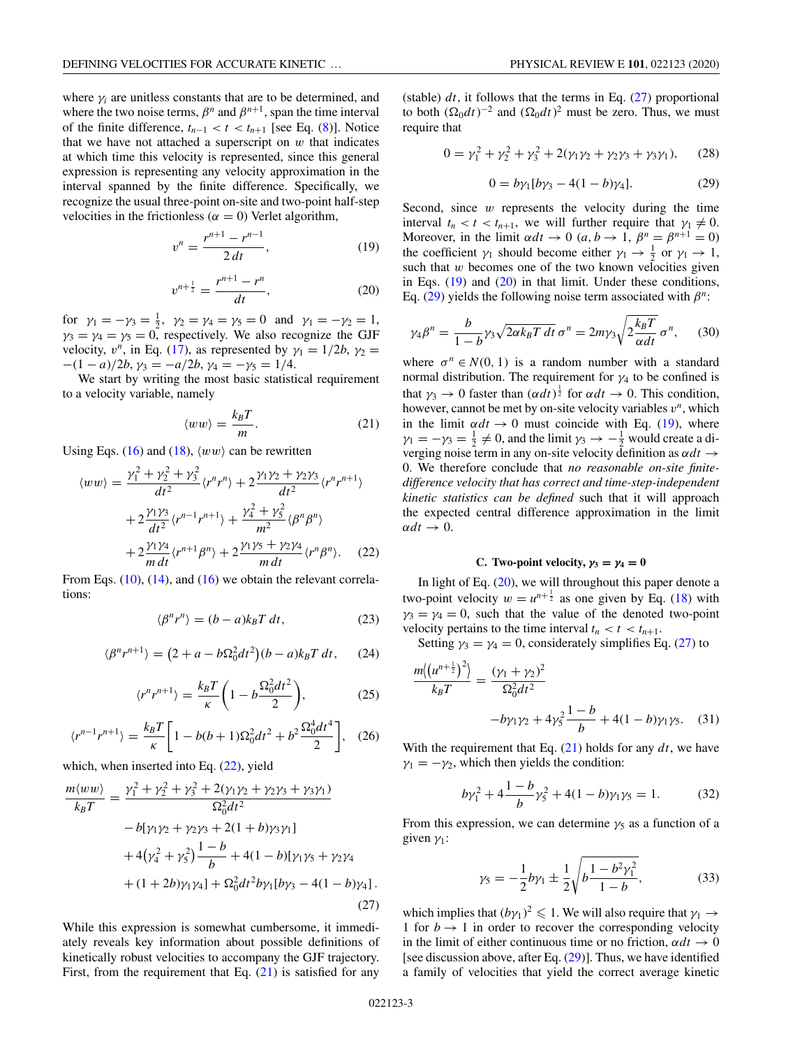<span id="page-2-0"></span>where  $\gamma$  *i* are unitless constants that are to be determined, and where the two noise terms,  $\beta^n$  and  $\beta^{n+1}$ , span the time interval of the finite difference,  $t_{n-1} < t < t_{n+1}$  [see Eq. [\(8\)](#page-1-0)]. Notice that we have not attached a superscript on  $w$  that indicates at which time this velocity is represented, since this general expression is representing any velocity approximation in the interval spanned by the finite difference. Specifically, we recognize the usual three-point on-site and two-point half-step velocities in the frictionless ( $\alpha = 0$ ) Verlet algorithm,

$$
v^n = \frac{r^{n+1} - r^{n-1}}{2 dt},
$$
\n(19)

$$
v^{n+\frac{1}{2}} = \frac{r^{n+1} - r^n}{dt},
$$
\n(20)

for  $\gamma_1 = -\gamma_3 = \frac{1}{2}$ ,  $\gamma_2 = \gamma_4 = \gamma_5 = 0$  and  $\gamma_1 = -\gamma_2 = 1$ ,  $\gamma_3 = \gamma_4 = \gamma_5 = 0$ , respectively. We also recognize the GJF velocity,  $v^n$ , in Eq. [\(17\)](#page-1-0), as represented by  $\gamma_1 = 1/2b$ ,  $\gamma_2 =$  $-(1 - a)/2b$ ,  $\gamma_3 = -a/2b$ ,  $\gamma_4 = -\gamma_5 = 1/4$ .

We start by writing the most basic statistical requirement to a velocity variable, namely

$$
\langle ww\rangle = \frac{k_B T}{m}.
$$
 (21)

Using Eqs. [\(16\)](#page-1-0) and [\(18\)](#page-1-0),  $\langle ww \rangle$  can be rewritten

$$
\langle ww \rangle = \frac{\gamma_1^2 + \gamma_2^2 + \gamma_3^2}{dt^2} \langle r^n r^n \rangle + 2 \frac{\gamma_1 \gamma_2 + \gamma_2 \gamma_3}{dt^2} \langle r^n r^{n+1} \rangle + 2 \frac{\gamma_1 \gamma_3}{dt^2} \langle r^{n-1} r^{n+1} \rangle + \frac{\gamma_4^2 + \gamma_5^2}{m^2} \langle \beta^n \beta^n \rangle + 2 \frac{\gamma_1 \gamma_4}{m dt} \langle r^{n+1} \beta^n \rangle + 2 \frac{\gamma_1 \gamma_5 + \gamma_2 \gamma_4}{m dt} \langle r^n \beta^n \rangle.
$$
 (22)

From Eqs.  $(10)$ ,  $(14)$ , and  $(16)$  we obtain the relevant correlations:

$$
\langle \beta^n r^n \rangle = (b - a) k_B T \, dt,\tag{23}
$$

$$
\langle \beta^n r^{n+1} \rangle = (2 + a - b\Omega_0^2 dt^2)(b - a)k_B T dt, \qquad (24)
$$

$$
\langle r^n r^{n+1} \rangle = \frac{k_B T}{\kappa} \left( 1 - b \frac{\Omega_0^2 dt^2}{2} \right),\tag{25}
$$

$$
\langle r^{n-1}r^{n+1} \rangle = \frac{k_B T}{\kappa} \left[ 1 - b(b+1)\Omega_0^2 dt^2 + b^2 \frac{\Omega_0^4 dt^4}{2} \right], \quad (26)
$$

which, when inserted into Eq.  $(22)$ , yield

$$
\frac{m\langle ww\rangle}{k_BT} = \frac{\gamma_1^2 + \gamma_2^2 + \gamma_3^2 + 2(\gamma_1\gamma_2 + \gamma_2\gamma_3 + \gamma_3\gamma_1)}{\Omega_0^2 dt^2} \n- b[\gamma_1\gamma_2 + \gamma_2\gamma_3 + 2(1 + b)\gamma_3\gamma_1] \n+ 4(\gamma_4^2 + \gamma_5^2) \frac{1 - b}{b} + 4(1 - b)[\gamma_1\gamma_5 + \gamma_2\gamma_4 \n+ (1 + 2b)\gamma_1\gamma_4] + \Omega_0^2 dt^2 b\gamma_1[b\gamma_3 - 4(1 - b)\gamma_4].
$$
\n(27)

While this expression is somewhat cumbersome, it immediately reveals key information about possible definitions of kinetically robust velocities to accompany the GJF trajectory. First, from the requirement that Eq.  $(21)$  is satisfied for any

(stable)  $dt$ , it follows that the terms in Eq.  $(27)$  proportional to both  $(\Omega_0 dt)^{-2}$  and  $(\Omega_0 dt)^2$  must be zero. Thus, we must require that

$$
0 = \gamma_1^2 + \gamma_2^2 + \gamma_3^2 + 2(\gamma_1\gamma_2 + \gamma_2\gamma_3 + \gamma_3\gamma_1), \quad (28)
$$

$$
0 = b\gamma_1[b\gamma_3 - 4(1 - b)\gamma_4].
$$
 (29)

Second, since *w* represents the velocity during the time interval  $t_n < t < t_{n+1}$ , we will further require that  $\gamma_1 \neq 0$ . Moreover, in the limit  $\alpha dt \rightarrow 0$  (*a*, *b*  $\rightarrow 1$ ,  $\beta^{n} = \beta^{n+1} = 0$ ) the coefficient  $\gamma_1$  should become either  $\gamma_1 \rightarrow \frac{1}{2}$  or  $\gamma_1 \rightarrow 1$ , such that *w* becomes one of the two known velocities given in Eqs.  $(19)$  and  $(20)$  in that limit. Under these conditions, Eq. (29) yields the following noise term associated with  $\beta^n$ :

$$
\gamma_4 \beta^n = \frac{b}{1 - b} \gamma_3 \sqrt{2\alpha k_B T dt} \,\sigma^n = 2m\gamma_3 \sqrt{2\frac{k_B T}{\alpha dt}} \,\sigma^n,\qquad(30)
$$

where  $\sigma^n \in N(0, 1)$  is a random number with a standard normal distribution. The requirement for  $\gamma_4$  to be confined is that  $\gamma_3 \to 0$  faster than  $(\alpha dt)^{\frac{1}{2}}$  for  $\alpha dt \to 0$ . This condition, however, cannot be met by on-site velocity variables *v<sup>n</sup>*, which in the limit  $\alpha dt \rightarrow 0$  must coincide with Eq. (19), where  $\gamma_1 = -\gamma_3 = \frac{1}{2} \neq 0$ , and the limit  $\gamma_3 \rightarrow -\frac{1}{2}$  would create a diverging noise term in any on-site velocity definition as  $\alpha dt \rightarrow$ 0. We therefore conclude that *no reasonable on-site finitedifference velocity that has correct and time-step-independent kinetic statistics can be defined* such that it will approach the expected central difference approximation in the limit  $\alpha dt \rightarrow 0.$ 

#### **C.** Two-point velocity,  $\gamma_3 = \gamma_4 = 0$

In light of Eq.  $(20)$ , we will throughout this paper denote a two-point velocity  $w = u^{n + \frac{1}{2}}$  as one given by Eq. [\(18\)](#page-1-0) with  $\gamma_3 = \gamma_4 = 0$ , such that the value of the denoted two-point velocity pertains to the time interval  $t_n < t < t_{n+1}$ .

Setting  $\gamma_3 = \gamma_4 = 0$ , considerately simplifies Eq. (27) to

$$
\frac{m((u^{n+\frac{1}{2}})^2)}{k_B T} = \frac{(\gamma_1 + \gamma_2)^2}{\Omega_0^2 dt^2} -b\gamma_1 \gamma_2 + 4\gamma_5^2 \frac{1-b}{b} + 4(1-b)\gamma_1 \gamma_5.
$$
 (31)

With the requirement that Eq. (21) holds for any *dt*, we have  $\gamma_1 = -\gamma_2$ , which then yields the condition:

$$
b\gamma_1^2 + 4\frac{1-b}{b}\gamma_5^2 + 4(1-b)\gamma_1\gamma_5 = 1.
$$
 (32)

From this expression, we can determine  $\gamma_5$  as a function of a given  $\gamma_1$ :

$$
\gamma_5 = -\frac{1}{2}b\gamma_1 \pm \frac{1}{2}\sqrt{b\frac{1-b^2\gamma_1^2}{1-b}},\tag{33}
$$

which implies that  $(b\gamma_1)^2 \leq 1$ . We will also require that  $\gamma_1 \rightarrow$ 1 for  $b \rightarrow 1$  in order to recover the corresponding velocity in the limit of either continuous time or no friction,  $\alpha dt \rightarrow 0$ [see discussion above, after Eq.  $(29)$ ]. Thus, we have identified a family of velocities that yield the correct average kinetic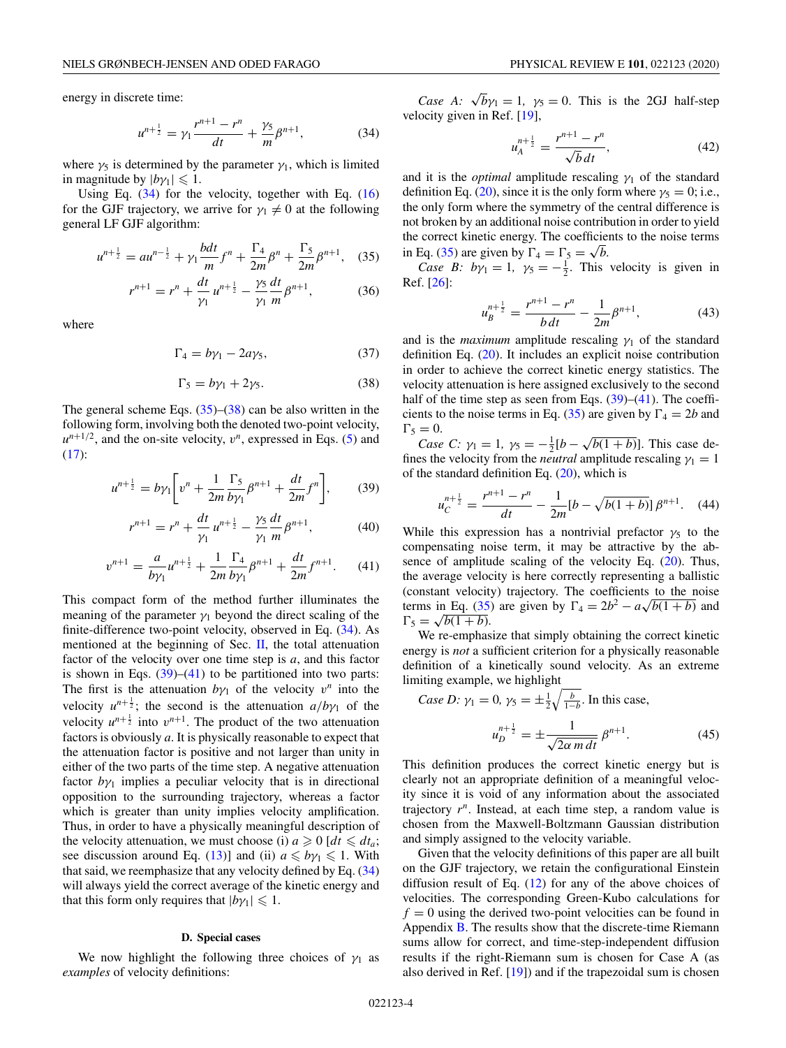<span id="page-3-0"></span>energy in discrete time:

$$
u^{n+\frac{1}{2}} = \gamma_1 \frac{r^{n+1} - r^n}{dt} + \frac{\gamma_5}{m} \beta^{n+1},\tag{34}
$$

where  $\gamma_5$  is determined by the parameter  $\gamma_1$ , which is limited in magnitude by  $|b\gamma_1| \leq 1$ .

Using Eq.  $(34)$  for the velocity, together with Eq.  $(16)$ for the GJF trajectory, we arrive for  $\gamma_1 \neq 0$  at the following general LF GJF algorithm:

$$
u^{n+\frac{1}{2}} = au^{n-\frac{1}{2}} + \gamma_1 \frac{bdt}{m} f^n + \frac{\Gamma_4}{2m} \beta^n + \frac{\Gamma_5}{2m} \beta^{n+1}, \quad (35)
$$

$$
r^{n+1} = r^n + \frac{dt}{\gamma_1} u^{n+\frac{1}{2}} - \frac{\gamma_5}{\gamma_1} \frac{dt}{m} \beta^{n+1},
$$
 (36)

where

$$
\Gamma_4 = b\gamma_1 - 2a\gamma_5,\tag{37}
$$

$$
\Gamma_5 = b\gamma_1 + 2\gamma_5. \tag{38}
$$

The general scheme Eqs.  $(35)$ – $(38)$  can be also written in the following form, involving both the denoted two-point velocity,  $u^{n+1/2}$ , and the on-site velocity,  $v^n$ , expressed in Eqs. [\(5\)](#page-1-0) and [\(17\)](#page-1-0):

$$
u^{n+\frac{1}{2}} = b\gamma_1 \bigg[ v^n + \frac{1}{2m} \frac{\Gamma_5}{b\gamma_1} \beta^{n+1} + \frac{dt}{2m} f^n \bigg],\tag{39}
$$

$$
r^{n+1} = r^n + \frac{dt}{\gamma_1} u^{n+\frac{1}{2}} - \frac{\gamma_5}{\gamma_1} \frac{dt}{m} \beta^{n+1},
$$
 (40)

$$
v^{n+1} = \frac{a}{b\gamma_1}u^{n+\frac{1}{2}} + \frac{1}{2m}\frac{\Gamma_4}{b\gamma_1}\beta^{n+1} + \frac{dt}{2m}f^{n+1}.
$$
 (41)

This compact form of the method further illuminates the meaning of the parameter  $\gamma_1$  beyond the direct scaling of the finite-difference two-point velocity, observed in Eq. (34). As mentioned at the beginning of Sec.  $II$ , the total attenuation factor of the velocity over one time step is *a*, and this factor is shown in Eqs.  $(39)$ – $(41)$  to be partitioned into two parts: The first is the attenuation  $b\gamma_1$  of the velocity  $v^n$  into the velocity  $u^{n+\frac{1}{2}}$ ; the second is the attenuation  $a/b\gamma_1$  of the velocity  $u^{n+\frac{1}{2}}$  into  $v^{n+1}$ . The product of the two attenuation factors is obviously *a*. It is physically reasonable to expect that the attenuation factor is positive and not larger than unity in either of the two parts of the time step. A negative attenuation factor  $b\gamma_1$  implies a peculiar velocity that is in directional opposition to the surrounding trajectory, whereas a factor which is greater than unity implies velocity amplification. Thus, in order to have a physically meaningful description of the velocity attenuation, we must choose (i)  $a \ge 0$  [ $dt \le dt_a$ ; see discussion around Eq. [\(13\)](#page-1-0)] and (ii)  $a \leq b\gamma_1 \leq 1$ . With that said, we reemphasize that any velocity defined by Eq.  $(34)$ will always yield the correct average of the kinetic energy and that this form only requires that  $|b\gamma_1| \leq 1$ .

#### **D. Special cases**

We now highlight the following three choices of  $\gamma_1$  as *examples* of velocity definitions:

*Case A:*  $\sqrt{b}\gamma_1 = 1$ ,  $\gamma_5 = 0$ . This is the 2GJ half-step velocity given in Ref. [\[19\]](#page-8-0),

$$
u_A^{n+\frac{1}{2}} = \frac{r^{n+1} - r^n}{\sqrt{b} dt},
$$
\n(42)

and it is the *optimal* amplitude rescaling  $\gamma_1$  of the standard definition Eq. [\(20\)](#page-2-0), since it is the only form where  $\gamma_5 = 0$ ; i.e., the only form where the symmetry of the central difference is not broken by an additional noise contribution in order to yield the correct kinetic energy. The coefficients to the noise terms in Eq. (35) are given by  $\Gamma_4 = \Gamma_5 = \sqrt{b}$ .

*Case B: by*<sub>1</sub> = 1,  $y_5 = -\frac{1}{2}$ . This velocity is given in Ref. [\[26\]](#page-8-0):

$$
u_B^{n+\frac{1}{2}} = \frac{r^{n+1} - r^n}{b \, dt} - \frac{1}{2m} \beta^{n+1},\tag{43}
$$

and is the *maximum* amplitude rescaling  $\gamma_1$  of the standard definition Eq. [\(20\)](#page-2-0). It includes an explicit noise contribution in order to achieve the correct kinetic energy statistics. The velocity attenuation is here assigned exclusively to the second half of the time step as seen from Eqs.  $(39)$ – $(41)$ . The coefficients to the noise terms in Eq. (35) are given by  $\Gamma_4 = 2b$  and  $\Gamma_5 = 0.$ 

*Case C:*  $\gamma_1 = 1$ ,  $\gamma_5 = -\frac{1}{2} [b - \sqrt{b(1+b)}]$ . This case defines the velocity from the *neutral* amplitude rescaling  $\gamma_1 = 1$ of the standard definition Eq.  $(20)$ , which is

$$
u_C^{n+\frac{1}{2}} = \frac{r^{n+1} - r^n}{dt} - \frac{1}{2m} [b - \sqrt{b(1+b)}] \beta^{n+1}.
$$
 (44)

While this expression has a nontrivial prefactor  $\gamma_5$  to the compensating noise term, it may be attractive by the absence of amplitude scaling of the velocity Eq. [\(20\)](#page-2-0). Thus, the average velocity is here correctly representing a ballistic (constant velocity) trajectory. The coefficients to the noise terms in Eq. (35) are given by  $\Gamma_4 = 2b^2 - a\sqrt{b(1+b)}$  and  $\Gamma_5 = \sqrt{b(1+b)}$ .

We re-emphasize that simply obtaining the correct kinetic energy is *not* a sufficient criterion for a physically reasonable definition of a kinetically sound velocity. As an extreme limiting example, we highlight

Case D: 
$$
\gamma_1 = 0
$$
,  $\gamma_5 = \pm \frac{1}{2} \sqrt{\frac{b}{1-b}}$ . In this case,  

$$
u_D^{n + \frac{1}{2}} = \pm \frac{1}{\sqrt{2\alpha \, m \, dt}} \, \beta^{n+1}.
$$
 (45)

This definition produces the correct kinetic energy but is clearly not an appropriate definition of a meaningful velocity since it is void of any information about the associated trajectory *r<sup>n</sup>*. Instead, at each time step, a random value is chosen from the Maxwell-Boltzmann Gaussian distribution and simply assigned to the velocity variable.

Given that the velocity definitions of this paper are all built on the GJF trajectory, we retain the configurational Einstein diffusion result of Eq.  $(12)$  for any of the above choices of velocities. The corresponding Green-Kubo calculations for  $f = 0$  using the derived two-point velocities can be found in Appendix [B.](#page-7-0) The results show that the discrete-time Riemann sums allow for correct, and time-step-independent diffusion results if the right-Riemann sum is chosen for Case A (as also derived in Ref. [\[19\]](#page-8-0)) and if the trapezoidal sum is chosen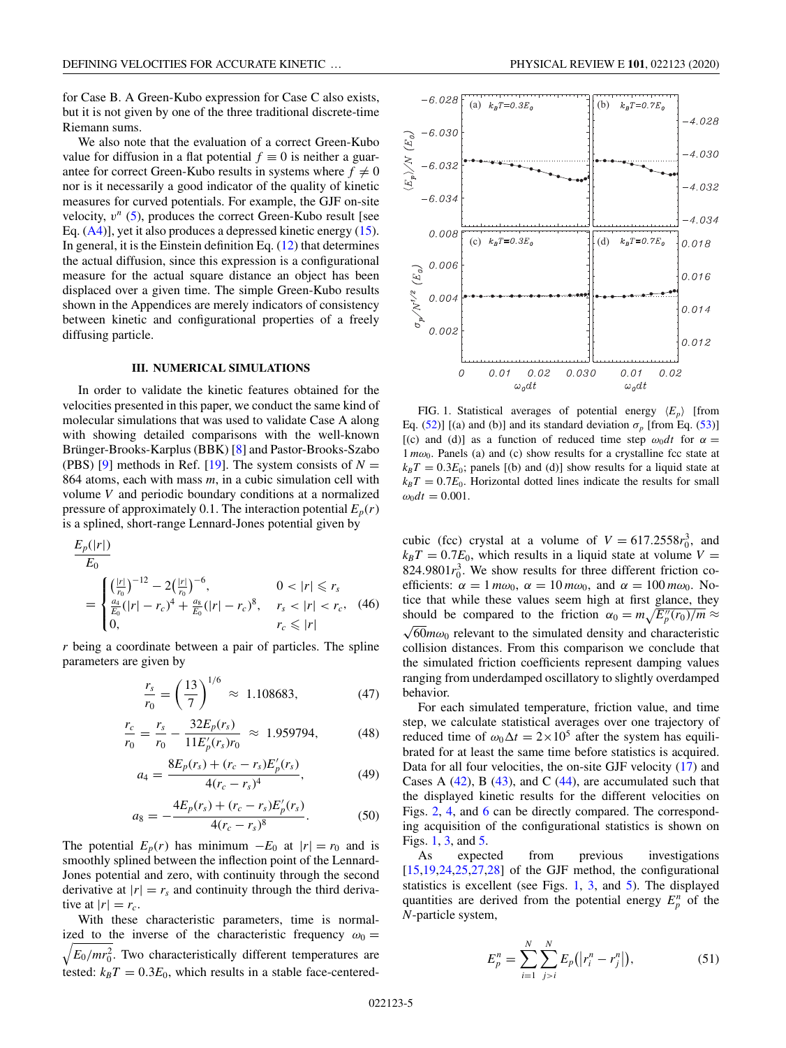<span id="page-4-0"></span>for Case B. A Green-Kubo expression for Case C also exists, but it is not given by one of the three traditional discrete-time Riemann sums.

We also note that the evaluation of a correct Green-Kubo value for diffusion in a flat potential  $f \equiv 0$  is neither a guarantee for correct Green-Kubo results in systems where  $f \neq 0$ nor is it necessarily a good indicator of the quality of kinetic measures for curved potentials. For example, the GJF on-site velocity,  $v^n$  [\(5\)](#page-1-0), produces the correct Green-Kubo result [see Eq. [\(A4\)](#page-7-0)], yet it also produces a depressed kinetic energy [\(15\)](#page-1-0). In general, it is the Einstein definition Eq.  $(12)$  that determines the actual diffusion, since this expression is a configurational measure for the actual square distance an object has been displaced over a given time. The simple Green-Kubo results shown in the Appendices are merely indicators of consistency between kinetic and configurational properties of a freely diffusing particle.

#### **III. NUMERICAL SIMULATIONS**

In order to validate the kinetic features obtained for the velocities presented in this paper, we conduct the same kind of molecular simulations that was used to validate Case A along with showing detailed comparisons with the well-known Brünger-Brooks-Karplus (BBK) [\[8\]](#page-8-0) and Pastor-Brooks-Szabo (PBS) [\[9\]](#page-8-0) methods in Ref. [\[19\]](#page-8-0). The system consists of  $N =$ 864 atoms, each with mass *m*, in a cubic simulation cell with volume *V* and periodic boundary conditions at a normalized pressure of approximately 0.1. The interaction potential  $E_p(r)$ is a splined, short-range Lennard-Jones potential given by

$$
\frac{E_p(|r|)}{E_0}
$$
\n
$$
= \begin{cases}\n\left(\frac{|r|}{r_0}\right)^{-12} - 2\left(\frac{|r|}{r_0}\right)^{-6}, & 0 < |r| \le r_s \\
\frac{a_4}{E_0}(|r| - r_c)^4 + \frac{a_8}{E_0}(|r| - r_c)^8, & r_s < |r| < r_c, \\
0, & r_c \le |r|\n\end{cases}
$$
\n(46)

*r* being a coordinate between a pair of particles. The spline parameters are given by

$$
\frac{r_s}{r_0} = \left(\frac{13}{7}\right)^{1/6} \approx 1.108683,
$$
 (47)

$$
\frac{r_c}{r_0} = \frac{r_s}{r_0} - \frac{32E_p(r_s)}{11E'_p(r_s)r_0} \approx 1.959794,
$$
 (48)

$$
a_4 = \frac{8E_p(r_s) + (r_c - r_s)E'_p(r_s)}{4(r_c - r_s)^4},\tag{49}
$$

$$
a_8 = -\frac{4E_p(r_s) + (r_c - r_s)E'_p(r_s)}{4(r_c - r_s)^8}.
$$
 (50)

The potential  $E_p(r)$  has minimum  $-E_0$  at  $|r| = r_0$  and is smoothly splined between the inflection point of the Lennard-Jones potential and zero, with continuity through the second derivative at  $|r| = r_s$  and continuity through the third derivative at  $|r| = r_c$ .

With these characteristic parameters, time is normalized to the inverse of the characteristic frequency  $\omega_0 = \sqrt{F_0/mr^2}$  Two characteristically different temperatures are  $E_0/mr_0^2$ . Two characteristically different temperatures are tested:  $k_B T = 0.3E_0$ , which results in a stable face-centered-



FIG. 1. Statistical averages of potential energy  $\langle E_p \rangle$  [from Eq. [\(52\)](#page-5-0)] [(a) and (b)] and its standard deviation  $\sigma_p$  [from Eq. [\(53\)](#page-5-0)] [(c) and (d)] as a function of reduced time step  $\omega_0 dt$  for  $\alpha =$  $1 m\omega_0$ . Panels (a) and (c) show results for a crystalline fcc state at  $k_B T = 0.3E_0$ ; panels [(b) and (d)] show results for a liquid state at  $k_B T = 0.7E_0$ . Horizontal dotted lines indicate the results for small  $\omega_0 dt = 0.001$ .

cubic (fcc) crystal at a volume of  $V = 617.2558r_0^3$ , and  $k_B T = 0.7E_0$ , which results in a liquid state at volume  $V =$ 824.9801 $r_0^3$ . We show results for three different friction coefficients:  $\alpha = 1 m\omega_0$ ,  $\alpha = 10 m\omega_0$ , and  $\alpha = 100 m\omega_0$ . Notice that while these values seem high at first glance, they should be compared to the friction  $\alpha_0 = m\sqrt{E_p''(r_0)/m} \approx \sqrt{60}m\omega_0$  relevant to the simulated density and characteristic collision distances. From this comparison we conclude that the simulated friction coefficients represent damping values ranging from underdamped oscillatory to slightly overdamped behavior.

For each simulated temperature, friction value, and time step, we calculate statistical averages over one trajectory of reduced time of  $\omega_0 \Delta t = 2 \times 10^5$  after the system has equilibrated for at least the same time before statistics is acquired. Data for all four velocities, the on-site GJF velocity [\(17\)](#page-1-0) and Cases A  $(42)$ , B  $(43)$ , and C  $(44)$ , are accumulated such that the displayed kinetic results for the different velocities on Figs. [2,](#page-5-0) [4,](#page-6-0) and [6](#page-7-0) can be directly compared. The corresponding acquisition of the configurational statistics is shown on Figs. 1, [3,](#page-5-0) and [5.](#page-6-0)

As expected from previous investigations  $[15,19,24,25,27,28]$  of the GJF method, the configurational statistics is excellent (see Figs. 1, [3,](#page-5-0) and [5\)](#page-6-0). The displayed quantities are derived from the potential energy  $E_p^n$  of the *N*-particle system,

$$
E_p^n = \sum_{i=1}^N \sum_{j>i}^N E_p(|r_i^n - r_j^n|), \tag{51}
$$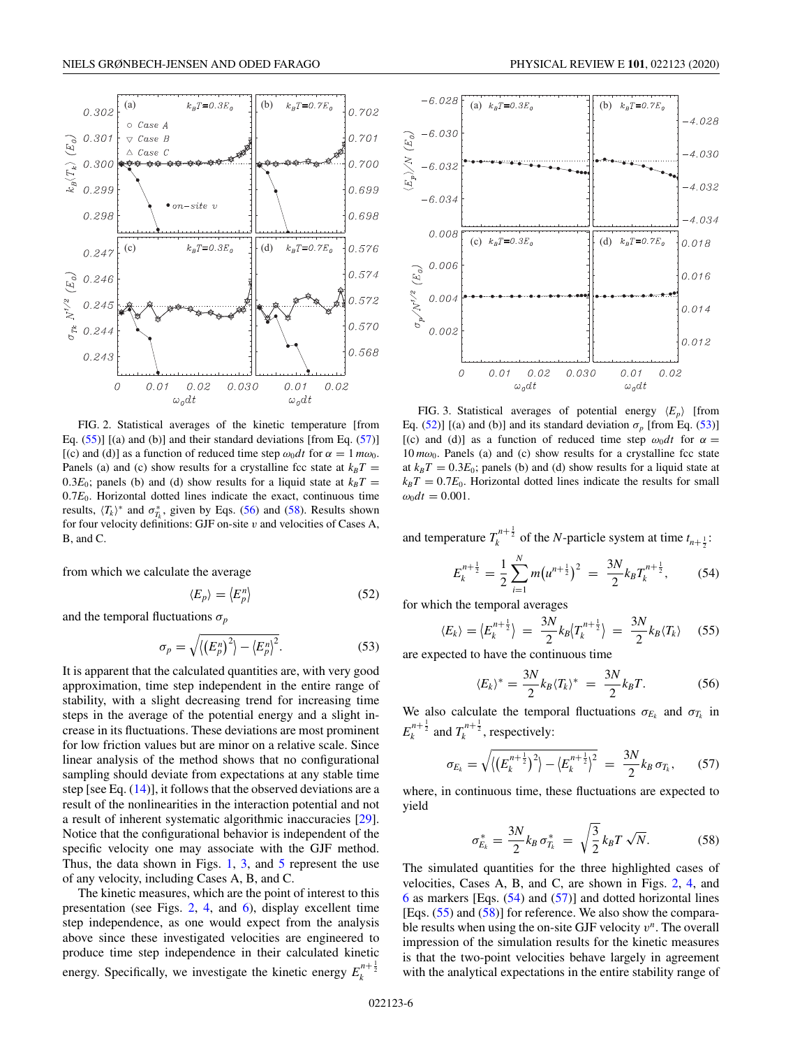(a)  $k_B T = 0.3 E_0$  (b)

<span id="page-5-0"></span>0.302

0.301

0.300

0.299

0.298

0.247

0.246

0.245

0.244

0.243

 $\mathcal O$ 

 $k_{B}\langle T_{k}\rangle\,\left(E_{\textit{o}}\right)$ 

 $(E_o)$ 

 $\circ$ Case A

 $\triangledown$  Case B

 $\triangle$  Case C

 $k_B T = 0.7 E_0$ 

 $k_B T = 0.7 E_0$ 

 $0.01$ 

0.702

0.701

0.700

0.699

0.698

0.576

0.574

0.572

0.570

0.568

0.02

(c)  $k_B T = 0.3 E_0$   $\left| \begin{array}{cc} | \end{array} \right|$  (d)

0.02

 $\bullet$  on-site v



0.030

from which we calculate the average

 $0.01$ 

$$
\langle E_p \rangle = \langle E_p^n \rangle \tag{52}
$$

and the temporal fluctuations  $\sigma_p$ 

$$
\sigma_p = \sqrt{\langle \left(E_p^n\right)^2 \rangle - \langle E_p^n \rangle^2}.
$$
\n(53)

It is apparent that the calculated quantities are, with very good approximation, time step independent in the entire range of stability, with a slight decreasing trend for increasing time steps in the average of the potential energy and a slight increase in its fluctuations. These deviations are most prominent for low friction values but are minor on a relative scale. Since linear analysis of the method shows that no configurational sampling should deviate from expectations at any stable time step [see Eq.  $(14)$ ], it follows that the observed deviations are a result of the nonlinearities in the interaction potential and not a result of inherent systematic algorithmic inaccuracies [\[29\]](#page-8-0). Notice that the configurational behavior is independent of the specific velocity one may associate with the GJF method. Thus, the data shown in Figs.  $1, 3$  $1, 3$ , and  $5$  represent the use of any velocity, including Cases A, B, and C.

The kinetic measures, which are the point of interest to this presentation (see Figs. 2, [4,](#page-6-0) and [6\)](#page-7-0), display excellent time step independence, as one would expect from the analysis above since these investigated velocities are engineered to produce time step independence in their calculated kinetic energy. Specifically, we investigate the kinetic energy  $E_k^{n+\frac{1}{2}}$ 



FIG. 3. Statistical averages of potential energy  $\langle E_p \rangle$  [from Eq. (52)] [(a) and (b)] and its standard deviation  $\sigma_p$  [from Eq. (53)] [(c) and (d)] as a function of reduced time step  $\omega_0 dt$  for  $\alpha =$  $10 \, m\omega_0$ . Panels (a) and (c) show results for a crystalline fcc state at  $k_B T = 0.3E_0$ ; panels (b) and (d) show results for a liquid state at  $k_B T = 0.7E_0$ . Horizontal dotted lines indicate the results for small  $\omega_0 dt = 0.001$ .

and temperature  $T_k^{n+\frac{1}{2}}$  of the *N*-particle system at time  $t_{n+\frac{1}{2}}$ :

$$
E_k^{n+\frac{1}{2}} = \frac{1}{2} \sum_{i=1}^N m(u^{n+\frac{1}{2}})^2 = \frac{3N}{2} k_B T_k^{n+\frac{1}{2}},
$$
 (54)

for which the temporal averages

$$
\langle E_k \rangle = \langle E_k^{n + \frac{1}{2}} \rangle = \frac{3N}{2} k_B \langle T_k^{n + \frac{1}{2}} \rangle = \frac{3N}{2} k_B \langle T_k \rangle \quad (55)
$$

are expected to have the continuous time

$$
\langle E_k \rangle^* = \frac{3N}{2} k_B \langle T_k \rangle^* = \frac{3N}{2} k_B T. \tag{56}
$$

We also calculate the temporal fluctuations  $\sigma_{E_k}$  and  $\sigma_{T_k}$  in  $E_k^{n+\frac{1}{2}}$  and  $T_k^{n+\frac{1}{2}}$ , respectively:

$$
\sigma_{E_k} = \sqrt{\langle \left( E_k^{n+\frac{1}{2}} \right)^2 \rangle - \langle E_k^{n+\frac{1}{2}} \rangle^2} = \frac{3N}{2} k_B \, \sigma_{T_k}, \qquad (57)
$$

where, in continuous time, these fluctuations are expected to yield

$$
\sigma_{E_k}^* = \frac{3N}{2} k_B \,\sigma_{T_k}^* = \sqrt{\frac{3}{2}} k_B T \,\sqrt{N}.\tag{58}
$$

The simulated quantities for the three highlighted cases of velocities, Cases A, B, and C, are shown in Figs. 2, [4,](#page-6-0) and  $6$  as markers [Eqs.  $(54)$  and  $(57)$ ] and dotted horizontal lines [Eqs. (55) and (58)] for reference. We also show the comparable results when using the on-site GJF velocity *v<sup>n</sup>*. The overall impression of the simulation results for the kinetic measures is that the two-point velocities behave largely in agreement with the analytical expectations in the entire stability range of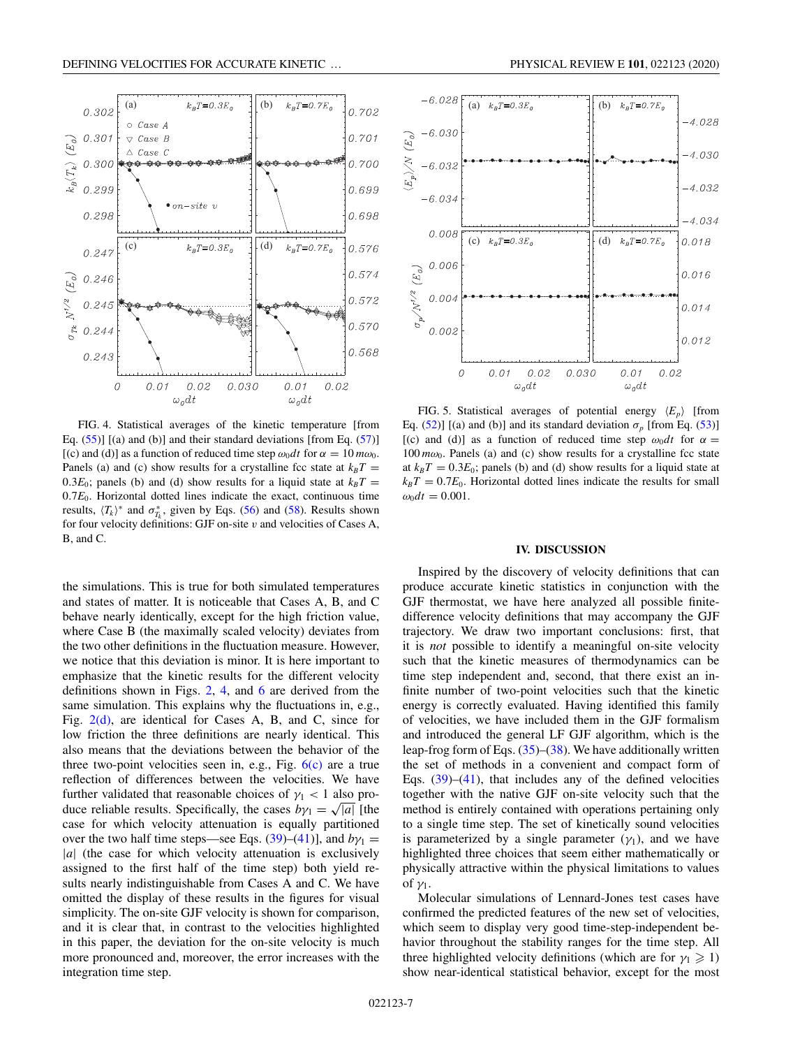(a)  $k_B T = 0.3 E_0$  (b)

<span id="page-6-0"></span>0.302

0.301

 $\circ$ Case A

 $\bigtriangledown$  $Case \ B$ 

 $\vartriangle$  Case C

 $k_B T = 0.7 E_0$ 

0.702

0.701



Eq.  $(55)$ ] [(a) and (b)] and their standard deviations [from Eq.  $(57)$ ] [(c) and (d)] as a function of reduced time step  $\omega_0 dt$  for  $\alpha = 10 m \omega_0$ . Panels (a) and (c) show results for a crystalline fcc state at  $k_B T =$ 0.3 $E_0$ ; panels (b) and (d) show results for a liquid state at  $k_B T =$  $0.7E<sub>0</sub>$ . Horizontal dotted lines indicate the exact, continuous time results,  $\langle T_k \rangle^*$  and  $\sigma_{T_k}^*$ , given by Eqs. [\(56\)](#page-5-0) and [\(58\)](#page-5-0). Results shown for four velocity definitions: GJF on-site *v* and velocities of Cases A, B, and C.

the simulations. This is true for both simulated temperatures and states of matter. It is noticeable that Cases A, B, and C behave nearly identically, except for the high friction value, where Case B (the maximally scaled velocity) deviates from the two other definitions in the fluctuation measure. However, we notice that this deviation is minor. It is here important to emphasize that the kinetic results for the different velocity definitions shown in Figs. [2,](#page-5-0) 4, and [6](#page-7-0) are derived from the same simulation. This explains why the fluctuations in, e.g., Fig.  $2(d)$ , are identical for Cases A, B, and C, since for low friction the three definitions are nearly identical. This also means that the deviations between the behavior of the three two-point velocities seen in, e.g., Fig.  $6(c)$  are a true reflection of differences between the velocities. We have further validated that reasonable choices of  $\gamma_1$  < 1 also produce reliable results. Specifically, the cases  $b\gamma_1 = \sqrt{|a|}$  [the case for which velocity attenuation is equally partitioned over the two half time steps—see Eqs. [\(39\)](#page-3-0)–[\(41\)](#page-3-0)], and  $b\gamma_1$  = |a| (the case for which velocity attenuation is exclusively assigned to the first half of the time step) both yield results nearly indistinguishable from Cases A and C. We have omitted the display of these results in the figures for visual simplicity. The on-site GJF velocity is shown for comparison, and it is clear that, in contrast to the velocities highlighted in this paper, the deviation for the on-site velocity is much more pronounced and, moreover, the error increases with the integration time step.





FIG. 5. Statistical averages of potential energy  $\langle E_p \rangle$  [from Eq. [\(52\)](#page-5-0)] [(a) and (b)] and its standard deviation  $\sigma_p$  [from Eq. [\(53\)](#page-5-0)] [(c) and (d)] as a function of reduced time step  $\omega_0 dt$  for  $\alpha =$  $100 \, m\omega_0$ . Panels (a) and (c) show results for a crystalline fcc state at  $k_B T = 0.3E_0$ ; panels (b) and (d) show results for a liquid state at  $k_B T = 0.7E_0$ . Horizontal dotted lines indicate the results for small  $\omega_0 dt = 0.001$ .

#### **IV. DISCUSSION**

Inspired by the discovery of velocity definitions that can produce accurate kinetic statistics in conjunction with the GJF thermostat, we have here analyzed all possible finitedifference velocity definitions that may accompany the GJF trajectory. We draw two important conclusions: first, that it is *not* possible to identify a meaningful on-site velocity such that the kinetic measures of thermodynamics can be time step independent and, second, that there exist an infinite number of two-point velocities such that the kinetic energy is correctly evaluated. Having identified this family of velocities, we have included them in the GJF formalism and introduced the general LF GJF algorithm, which is the leap-frog form of Eqs. [\(35\)](#page-3-0)–[\(38\)](#page-3-0). We have additionally written the set of methods in a convenient and compact form of Eqs.  $(39)$ – $(41)$ , that includes any of the defined velocities together with the native GJF on-site velocity such that the method is entirely contained with operations pertaining only to a single time step. The set of kinetically sound velocities is parameterized by a single parameter  $(\gamma_1)$ , and we have highlighted three choices that seem either mathematically or physically attractive within the physical limitations to values of  $\gamma_1$ .

Molecular simulations of Lennard-Jones test cases have confirmed the predicted features of the new set of velocities, which seem to display very good time-step-independent behavior throughout the stability ranges for the time step. All three highlighted velocity definitions (which are for  $\gamma_1 \geq 1$ ) show near-identical statistical behavior, except for the most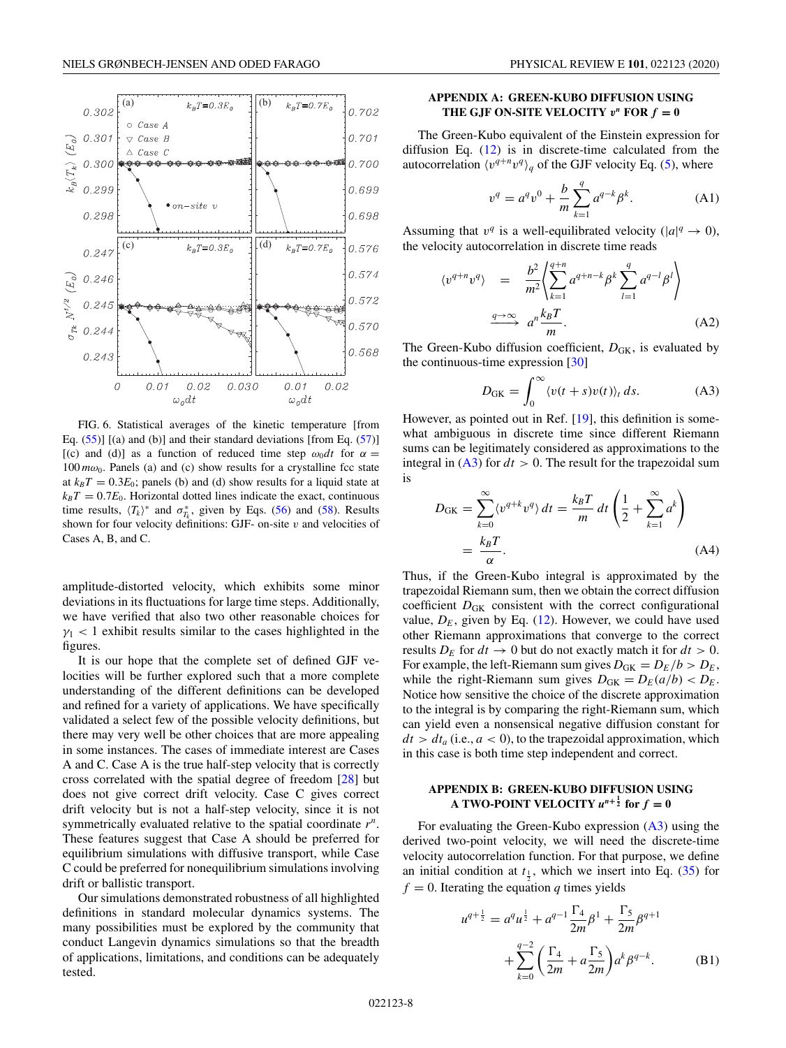<span id="page-7-0"></span>

FIG. 6. Statistical averages of the kinetic temperature [from Eq.  $(55)$ ] [(a) and (b)] and their standard deviations [from Eq.  $(57)$ ] [(c) and (d)] as a function of reduced time step  $\omega_0 dt$  for  $\alpha =$  $100 \, m\omega_0$ . Panels (a) and (c) show results for a crystalline fcc state at  $k_B T = 0.3E_0$ ; panels (b) and (d) show results for a liquid state at  $k_B T = 0.7E_0$ . Horizontal dotted lines indicate the exact, continuous time results,  $\langle T_k \rangle^*$  and  $\sigma_{T_k}^*$ , given by Eqs. [\(56\)](#page-5-0) and [\(58\)](#page-5-0). Results shown for four velocity definitions: GJF- on-site *v* and velocities of Cases A, B, and C.

amplitude-distorted velocity, which exhibits some minor deviations in its fluctuations for large time steps. Additionally, we have verified that also two other reasonable choices for  $\gamma_1$  < 1 exhibit results similar to the cases highlighted in the figures.

It is our hope that the complete set of defined GJF velocities will be further explored such that a more complete understanding of the different definitions can be developed and refined for a variety of applications. We have specifically validated a select few of the possible velocity definitions, but there may very well be other choices that are more appealing in some instances. The cases of immediate interest are Cases A and C. Case A is the true half-step velocity that is correctly cross correlated with the spatial degree of freedom [\[28\]](#page-8-0) but does not give correct drift velocity. Case C gives correct drift velocity but is not a half-step velocity, since it is not symmetrically evaluated relative to the spatial coordinate *r<sup>n</sup>*. These features suggest that Case A should be preferred for equilibrium simulations with diffusive transport, while Case C could be preferred for nonequilibrium simulations involving drift or ballistic transport.

Our simulations demonstrated robustness of all highlighted definitions in standard molecular dynamics systems. The many possibilities must be explored by the community that conduct Langevin dynamics simulations so that the breadth of applications, limitations, and conditions can be adequately tested.

## **APPENDIX A: GREEN-KUBO DIFFUSION USING THE GJF ON-SITE VELOCITY**  $v^n$  **FOR**  $f = 0$

The Green-Kubo equivalent of the Einstein expression for diffusion Eq.  $(12)$  is in discrete-time calculated from the autocorrelation  $\langle v^{q+n}v^q \rangle_q$  of the GJF velocity Eq. [\(5\)](#page-1-0), where

$$
v^{q} = a^{q}v^{0} + \frac{b}{m}\sum_{k=1}^{q} a^{q-k}\beta^{k}.
$$
 (A1)

Assuming that  $v^q$  is a well-equilibrated velocity ( $|a|^q \to 0$ ), the velocity autocorrelation in discrete time reads

$$
\langle v^{q+n}v^q \rangle = \frac{b^2}{m^2} \langle \sum_{k=1}^{q+n} a^{q+n-k} \beta^k \sum_{l=1}^q a^{q-l} \beta^l \rangle
$$
  

$$
\xrightarrow{q \to \infty} a^n \frac{k_B T}{m}.
$$
 (A2)

The Green-Kubo diffusion coefficient,  $D_{\text{GK}}$ , is evaluated by the continuous-time expression [\[30\]](#page-8-0)

$$
D_{\text{GK}} = \int_0^\infty \langle v(t+s)v(t) \rangle_t ds. \tag{A3}
$$

However, as pointed out in Ref. [\[19\]](#page-8-0), this definition is somewhat ambiguous in discrete time since different Riemann sums can be legitimately considered as approximations to the integral in  $(A3)$  for  $dt > 0$ . The result for the trapezoidal sum is

$$
D_{\text{GK}} = \sum_{k=0}^{\infty} \langle v^{q+k} v^q \rangle dt = \frac{k_B T}{m} dt \left( \frac{1}{2} + \sum_{k=1}^{\infty} a^k \right)
$$

$$
= \frac{k_B T}{\alpha}.
$$
 (A4)

Thus, if the Green-Kubo integral is approximated by the trapezoidal Riemann sum, then we obtain the correct diffusion coefficient *D*<sub>GK</sub> consistent with the correct configurational value,  $D_E$ , given by Eq.  $(12)$ . However, we could have used other Riemann approximations that converge to the correct results  $D_E$  for  $dt \to 0$  but do not exactly match it for  $dt > 0$ . For example, the left-Riemann sum gives  $D_{\text{GK}} = D_E/b > D_E$ , while the right-Riemann sum gives  $D_{\text{GK}} = D_E(a/b) < D_E$ . Notice how sensitive the choice of the discrete approximation to the integral is by comparing the right-Riemann sum, which can yield even a nonsensical negative diffusion constant for  $dt > dt_a$  (i.e.,  $a < 0$ ), to the trapezoidal approximation, which in this case is both time step independent and correct.

# **APPENDIX B: GREEN-KUBO DIFFUSION USING A TWO-POINT VELOCITY**  $u^{n+\frac{1}{2}}$  for  $f = 0$

For evaluating the Green-Kubo expression  $(A3)$  using the derived two-point velocity, we will need the discrete-time velocity autocorrelation function. For that purpose, we define an initial condition at  $t_1$ , which we insert into Eq. [\(35\)](#page-3-0) for  $f = 0$ . Iterating the equation *q* times yields

$$
u^{q+\frac{1}{2}} = a^q u^{\frac{1}{2}} + a^{q-1} \frac{\Gamma_4}{2m} \beta^1 + \frac{\Gamma_5}{2m} \beta^{q+1} + \sum_{k=0}^{q-2} \left( \frac{\Gamma_4}{2m} + a \frac{\Gamma_5}{2m} \right) a^k \beta^{q-k}.
$$
 (B1)